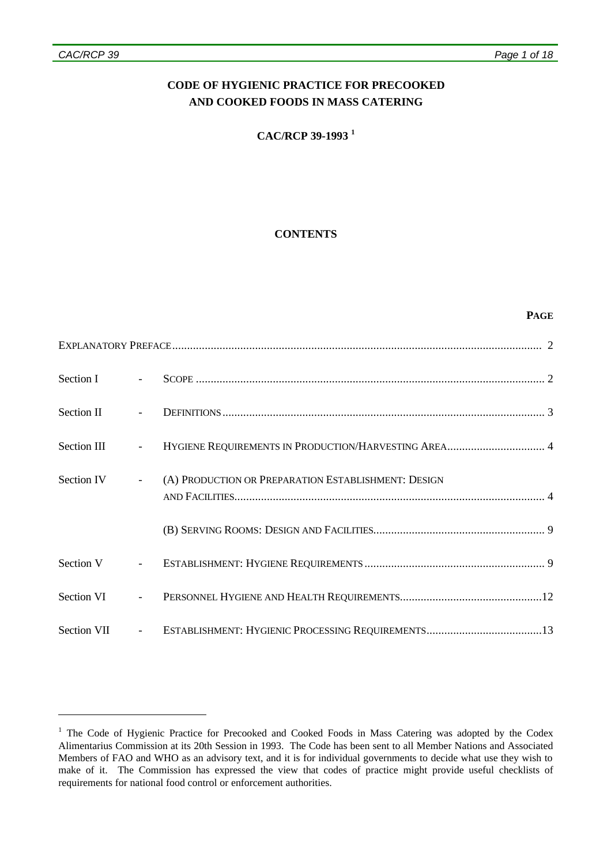#### *CAC/RCP 39 Page 1 of 18*

 $\overline{a}$ 

# **CODE OF HYGIENIC PRACTICE FOR PRECOOKED AND COOKED FOODS IN MASS CATERING**

## **CAC/RCP 39-1993 <sup>1</sup>**

### **CONTENTS**

#### **PAGE**

| Section I     | $\mathbf{r}$             |                                                     |
|---------------|--------------------------|-----------------------------------------------------|
| Section II    | $\overline{\phantom{a}}$ |                                                     |
| Section III   | $\overline{\phantom{a}}$ |                                                     |
| Section IV    | $\omega_{\rm{max}}$      | (A) PRODUCTION OR PREPARATION ESTABLISHMENT: DESIGN |
|               |                          |                                                     |
| Section V     | $\equiv$                 |                                                     |
| Section VI    | $\Delta \sim 10^{-11}$   |                                                     |
| Section VII - |                          |                                                     |

<sup>&</sup>lt;sup>1</sup> The Code of Hygienic Practice for Precooked and Cooked Foods in Mass Catering was adopted by the Codex Alimentarius Commission at its 20th Session in 1993. The Code has been sent to all Member Nations and Associated Members of FAO and WHO as an advisory text, and it is for individual governments to decide what use they wish to make of it. The Commission has expressed the view that codes of practice might provide useful checklists of requirements for national food control or enforcement authorities.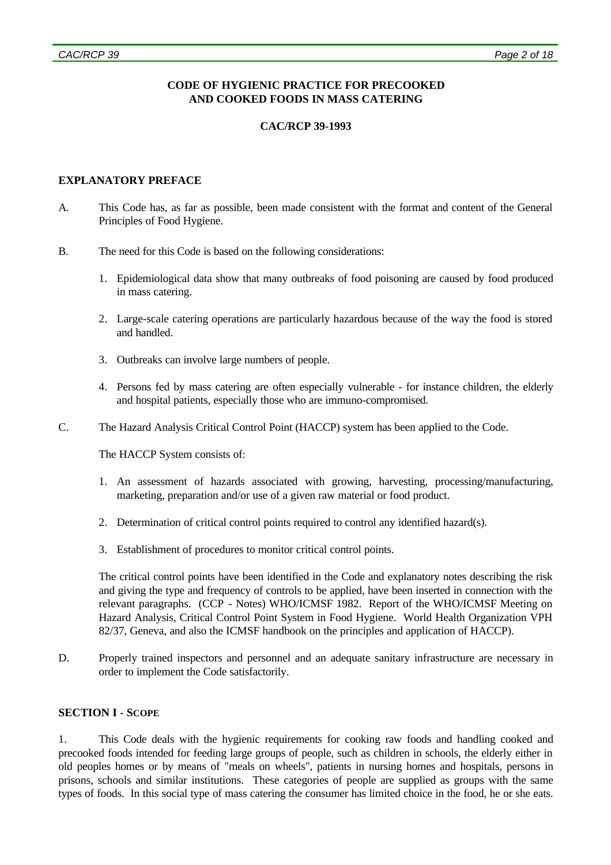## **CODE OF HYGIENIC PRACTICE FOR PRECOOKED AND COOKED FOODS IN MASS CATERING**

## **CAC/RCP 39-1993**

### **EXPLANATORY PREFACE**

- A. This Code has, as far as possible, been made consistent with the format and content of the General Principles of Food Hygiene.
- B. The need for this Code is based on the following considerations:
	- 1. Epidemiological data show that many outbreaks of food poisoning are caused by food produced in mass catering.
	- 2. Large-scale catering operations are particularly hazardous because of the way the food is stored and handled.
	- 3. Outbreaks can involve large numbers of people.
	- 4. Persons fed by mass catering are often especially vulnerable for instance children, the elderly and hospital patients, especially those who are immuno-compromised.
- C. The Hazard Analysis Critical Control Point (HACCP) system has been applied to the Code.

The HACCP System consists of:

- 1. An assessment of hazards associated with growing, harvesting, processing/manufacturing, marketing, preparation and/or use of a given raw material or food product.
- 2. Determination of critical control points required to control any identified hazard(s).
- 3. Establishment of procedures to monitor critical control points.

The critical control points have been identified in the Code and explanatory notes describing the risk and giving the type and frequency of controls to be applied, have been inserted in connection with the relevant paragraphs. (CCP - Notes) WHO/ICMSF 1982. Report of the WHO/ICMSF Meeting on Hazard Analysis, Critical Control Point System in Food Hygiene. World Health Organization VPH 82/37, Geneva, and also the ICMSF handbook on the principles and application of HACCP).

D. Properly trained inspectors and personnel and an adequate sanitary infrastructure are necessary in order to implement the Code satisfactorily.

### **SECTION I - SCOPE**

1. This Code deals with the hygienic requirements for cooking raw foods and handling cooked and precooked foods intended for feeding large groups of people, such as children in schools, the elderly either in old peoples homes or by means of "meals on wheels", patients in nursing homes and hospitals, persons in prisons, schools and similar institutions. These categories of people are supplied as groups with the same types of foods. In this social type of mass catering the consumer has limited choice in the food, he or she eats.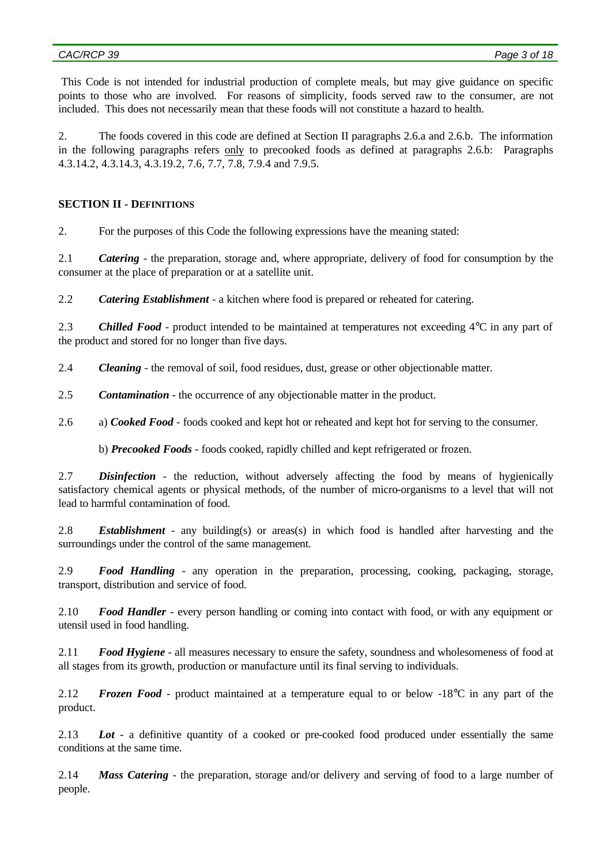This Code is not intended for industrial production of complete meals, but may give guidance on specific points to those who are involved. For reasons of simplicity, foods served raw to the consumer, are not included. This does not necessarily mean that these foods will not constitute a hazard to health.

2. The foods covered in this code are defined at Section II paragraphs 2.6.a and 2.6.b. The information in the following paragraphs refers only to precooked foods as defined at paragraphs 2.6.b: Paragraphs 4.3.14.2, 4.3.14.3, 4.3.19.2, 7.6, 7.7, 7.8, 7.9.4 and 7.9.5.

### **SECTION II - DEFINITIONS**

2. For the purposes of this Code the following expressions have the meaning stated:

2.1 *Catering* - the preparation, storage and, where appropriate, delivery of food for consumption by the consumer at the place of preparation or at a satellite unit.

2.2 *Catering Establishment* - a kitchen where food is prepared or reheated for catering.

2.3 *Chilled Food* - product intended to be maintained at temperatures not exceeding 4°C in any part of the product and stored for no longer than five days.

2.4 *Cleaning* - the removal of soil, food residues, dust, grease or other objectionable matter.

2.5 *Contamination* - the occurrence of any objectionable matter in the product.

2.6 a) *Cooked Food* - foods cooked and kept hot or reheated and kept hot for serving to the consumer.

b) *Precooked Foods* - foods cooked, rapidly chilled and kept refrigerated or frozen.

2.7 *Disinfection* - the reduction, without adversely affecting the food by means of hygienically satisfactory chemical agents or physical methods, of the number of micro-organisms to a level that will not lead to harmful contamination of food.

2.8 *Establishment* - any building(s) or areas(s) in which food is handled after harvesting and the surroundings under the control of the same management.

2.9 *Food Handling* - any operation in the preparation, processing, cooking, packaging, storage, transport, distribution and service of food.

2.10 *Food Handler* - every person handling or coming into contact with food, or with any equipment or utensil used in food handling.

2.11 *Food Hygiene* - all measures necessary to ensure the safety, soundness and wholesomeness of food at all stages from its growth, production or manufacture until its final serving to individuals.

2.12 *Frozen Food* - product maintained at a temperature equal to or below -18°C in any part of the product.

2.13 *Lot* - a definitive quantity of a cooked or pre-cooked food produced under essentially the same conditions at the same time.

2.14 *Mass Catering* - the preparation, storage and/or delivery and serving of food to a large number of people.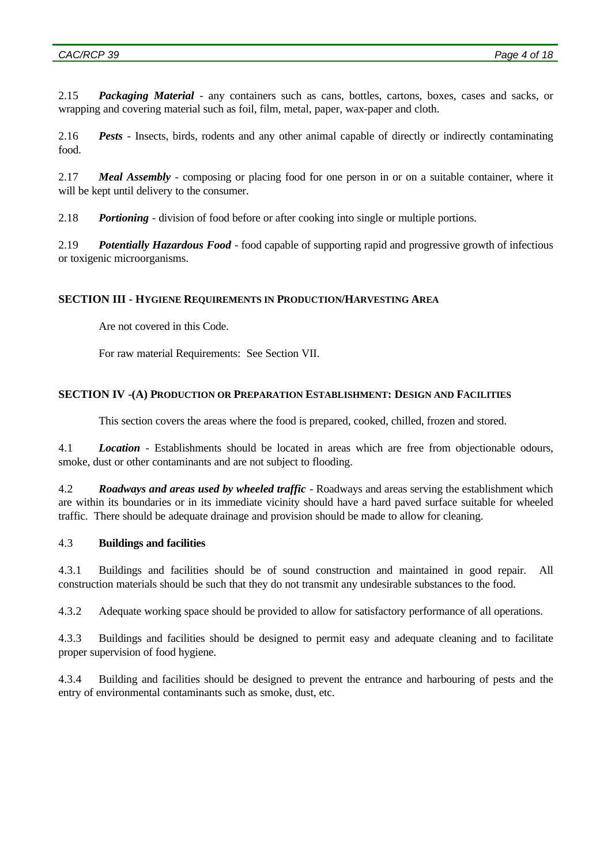2.15 *Packaging Material* - any containers such as cans, bottles, cartons, boxes, cases and sacks, or wrapping and covering material such as foil, film, metal, paper, wax-paper and cloth.

2.16 *Pests* - Insects, birds, rodents and any other animal capable of directly or indirectly contaminating food.

2.17 *Meal Assembly* - composing or placing food for one person in or on a suitable container, where it will be kept until delivery to the consumer.

2.18 *Portioning* - division of food before or after cooking into single or multiple portions.

2.19 *Potentially Hazardous Food* - food capable of supporting rapid and progressive growth of infectious or toxigenic microorganisms.

### **SECTION III - HYGIENE REQUIREMENTS IN PRODUCTION/HARVESTING AREA**

Are not covered in this Code.

For raw material Requirements: See Section VII.

### **SECTION IV -(A) PRODUCTION OR PREPARATION ESTABLISHMENT: DESIGN AND FACILITIES**

This section covers the areas where the food is prepared, cooked, chilled, frozen and stored.

4.1 *Location* - Establishments should be located in areas which are free from objectionable odours, smoke, dust or other contaminants and are not subject to flooding.

4.2 *Roadways and areas used by wheeled traffic* - Roadways and areas serving the establishment which are within its boundaries or in its immediate vicinity should have a hard paved surface suitable for wheeled traffic. There should be adequate drainage and provision should be made to allow for cleaning.

## 4.3 **Buildings and facilities**

4.3.1 Buildings and facilities should be of sound construction and maintained in good repair. All construction materials should be such that they do not transmit any undesirable substances to the food.

4.3.2 Adequate working space should be provided to allow for satisfactory performance of all operations.

4.3.3 Buildings and facilities should be designed to permit easy and adequate cleaning and to facilitate proper supervision of food hygiene.

4.3.4 Building and facilities should be designed to prevent the entrance and harbouring of pests and the entry of environmental contaminants such as smoke, dust, etc.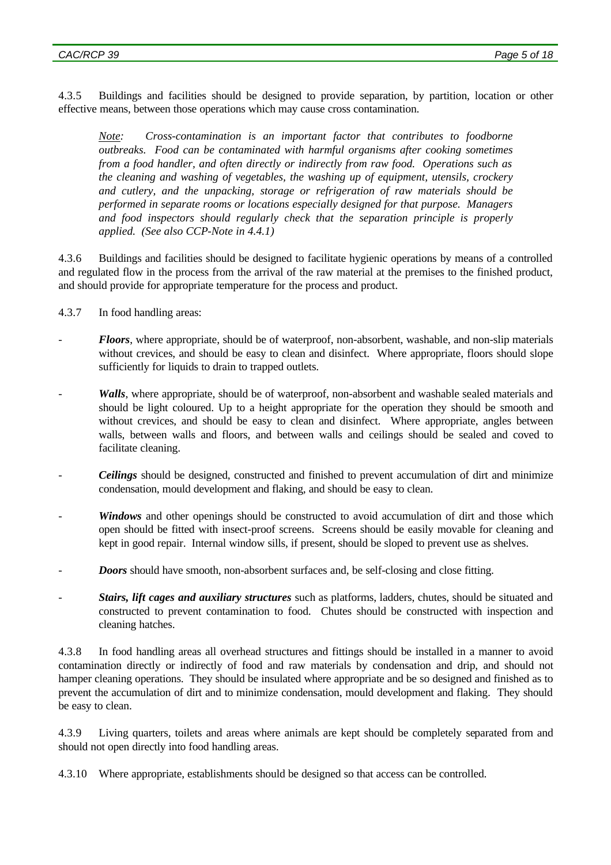4.3.5 Buildings and facilities should be designed to provide separation, by partition, location or other effective means, between those operations which may cause cross contamination.

*Note: Cross-contamination is an important factor that contributes to foodborne outbreaks. Food can be contaminated with harmful organisms after cooking sometimes from a food handler, and often directly or indirectly from raw food. Operations such as the cleaning and washing of vegetables, the washing up of equipment, utensils, crockery and cutlery, and the unpacking, storage or refrigeration of raw materials should be performed in separate rooms or locations especially designed for that purpose. Managers and food inspectors should regularly check that the separation principle is properly applied. (See also CCP-Note in 4.4.1)*

4.3.6 Buildings and facilities should be designed to facilitate hygienic operations by means of a controlled and regulated flow in the process from the arrival of the raw material at the premises to the finished product, and should provide for appropriate temperature for the process and product.

- 4.3.7 In food handling areas:
- *Floors*, where appropriate, should be of waterproof, non-absorbent, washable, and non-slip materials without crevices, and should be easy to clean and disinfect. Where appropriate, floors should slope sufficiently for liquids to drain to trapped outlets.
- *Walls*, where appropriate, should be of waterproof, non-absorbent and washable sealed materials and should be light coloured. Up to a height appropriate for the operation they should be smooth and without crevices, and should be easy to clean and disinfect. Where appropriate, angles between walls, between walls and floors, and between walls and ceilings should be sealed and coved to facilitate cleaning.
- *Ceilings* should be designed, constructed and finished to prevent accumulation of dirt and minimize condensation, mould development and flaking, and should be easy to clean.
- *Windows* and other openings should be constructed to avoid accumulation of dirt and those which open should be fitted with insect-proof screens. Screens should be easily movable for cleaning and kept in good repair. Internal window sills, if present, should be sloped to prevent use as shelves.
- *Doors* should have smooth, non-absorbent surfaces and, be self-closing and close fitting.
- *Stairs, lift cages and auxiliary structures* such as platforms, ladders, chutes, should be situated and constructed to prevent contamination to food. Chutes should be constructed with inspection and cleaning hatches.

4.3.8 In food handling areas all overhead structures and fittings should be installed in a manner to avoid contamination directly or indirectly of food and raw materials by condensation and drip, and should not hamper cleaning operations. They should be insulated where appropriate and be so designed and finished as to prevent the accumulation of dirt and to minimize condensation, mould development and flaking. They should be easy to clean.

4.3.9 Living quarters, toilets and areas where animals are kept should be completely separated from and should not open directly into food handling areas.

4.3.10 Where appropriate, establishments should be designed so that access can be controlled.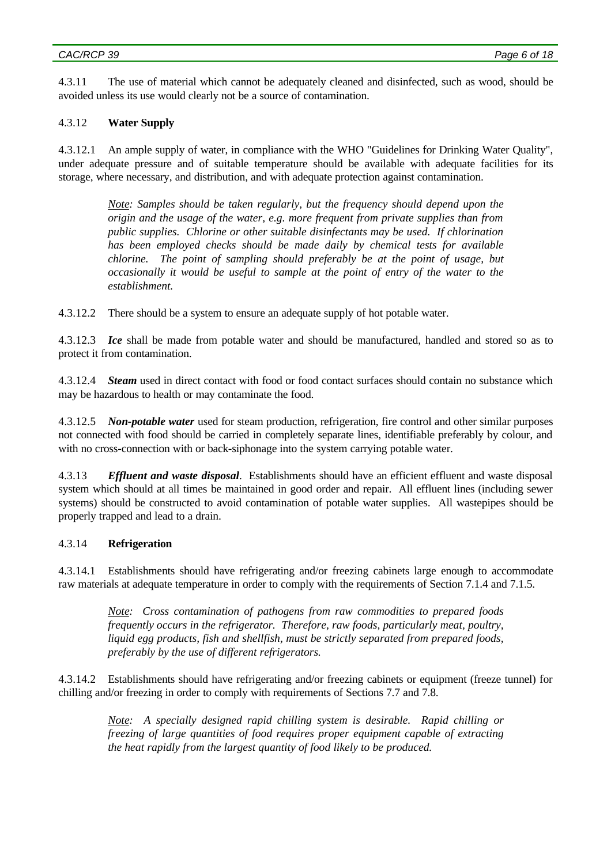4.3.11 The use of material which cannot be adequately cleaned and disinfected, such as wood, should be avoided unless its use would clearly not be a source of contamination.

### 4.3.12 **Water Supply**

4.3.12.1 An ample supply of water, in compliance with the WHO "Guidelines for Drinking Water Quality", under adequate pressure and of suitable temperature should be available with adequate facilities for its storage, where necessary, and distribution, and with adequate protection against contamination.

*Note: Samples should be taken regularly, but the frequency should depend upon the origin and the usage of the water, e.g. more frequent from private supplies than from public supplies. Chlorine or other suitable disinfectants may be used. If chlorination has been employed checks should be made daily by chemical tests for available chlorine. The point of sampling should preferably be at the point of usage, but occasionally it would be useful to sample at the point of entry of the water to the establishment.*

4.3.12.2 There should be a system to ensure an adequate supply of hot potable water.

4.3.12.3 *Ice* shall be made from potable water and should be manufactured, handled and stored so as to protect it from contamination.

4.3.12.4 *Steam* used in direct contact with food or food contact surfaces should contain no substance which may be hazardous to health or may contaminate the food.

4.3.12.5 *Non-potable water* used for steam production, refrigeration, fire control and other similar purposes not connected with food should be carried in completely separate lines, identifiable preferably by colour, and with no cross-connection with or back-siphonage into the system carrying potable water.

4.3.13 *Effluent and waste disposal*. Establishments should have an efficient effluent and waste disposal system which should at all times be maintained in good order and repair. All effluent lines (including sewer systems) should be constructed to avoid contamination of potable water supplies. All wastepipes should be properly trapped and lead to a drain.

### 4.3.14 **Refrigeration**

4.3.14.1 Establishments should have refrigerating and/or freezing cabinets large enough to accommodate raw materials at adequate temperature in order to comply with the requirements of Section 7.1.4 and 7.1.5.

*Note: Cross contamination of pathogens from raw commodities to prepared foods frequently occurs in the refrigerator. Therefore, raw foods, particularly meat, poultry, liquid egg products, fish and shellfish, must be strictly separated from prepared foods, preferably by the use of different refrigerators.*

4.3.14.2 Establishments should have refrigerating and/or freezing cabinets or equipment (freeze tunnel) for chilling and/or freezing in order to comply with requirements of Sections 7.7 and 7.8.

*Note: A specially designed rapid chilling system is desirable. Rapid chilling or freezing of large quantities of food requires proper equipment capable of extracting the heat rapidly from the largest quantity of food likely to be produced.*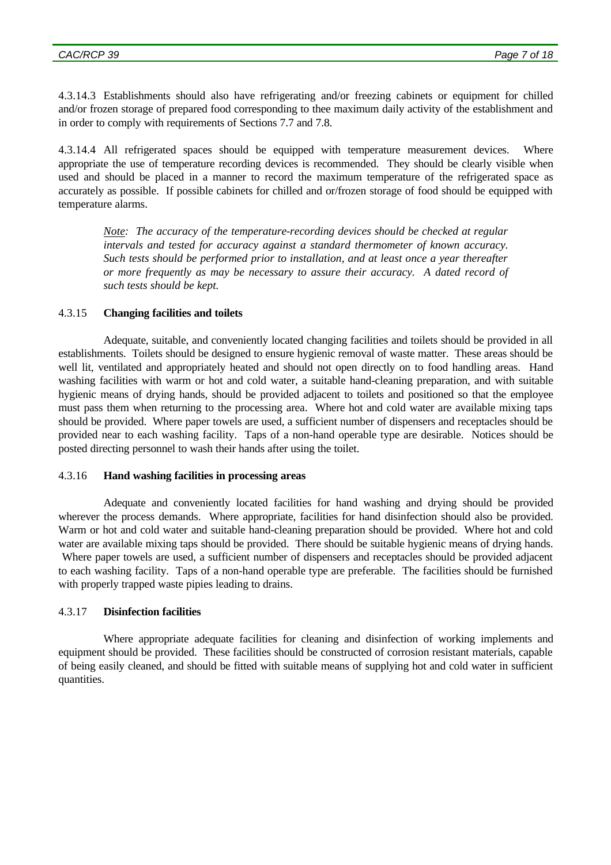4.3.14.3 Establishments should also have refrigerating and/or freezing cabinets or equipment for chilled and/or frozen storage of prepared food corresponding to thee maximum daily activity of the establishment and in order to comply with requirements of Sections 7.7 and 7.8.

4.3.14.4 All refrigerated spaces should be equipped with temperature measurement devices. Where appropriate the use of temperature recording devices is recommended. They should be clearly visible when used and should be placed in a manner to record the maximum temperature of the refrigerated space as accurately as possible. If possible cabinets for chilled and or/frozen storage of food should be equipped with temperature alarms.

*Note: The accuracy of the temperature-recording devices should be checked at regular intervals and tested for accuracy against a standard thermometer of known accuracy. Such tests should be performed prior to installation, and at least once a year thereafter or more frequently as may be necessary to assure their accuracy. A dated record of such tests should be kept.*

### 4.3.15 **Changing facilities and toilets**

Adequate, suitable, and conveniently located changing facilities and toilets should be provided in all establishments. Toilets should be designed to ensure hygienic removal of waste matter. These areas should be well lit, ventilated and appropriately heated and should not open directly on to food handling areas. Hand washing facilities with warm or hot and cold water, a suitable hand-cleaning preparation, and with suitable hygienic means of drying hands, should be provided adjacent to toilets and positioned so that the employee must pass them when returning to the processing area. Where hot and cold water are available mixing taps should be provided. Where paper towels are used, a sufficient number of dispensers and receptacles should be provided near to each washing facility. Taps of a non-hand operable type are desirable. Notices should be posted directing personnel to wash their hands after using the toilet.

### 4.3.16 **Hand washing facilities in processing areas**

Adequate and conveniently located facilities for hand washing and drying should be provided wherever the process demands. Where appropriate, facilities for hand disinfection should also be provided. Warm or hot and cold water and suitable hand-cleaning preparation should be provided. Where hot and cold water are available mixing taps should be provided. There should be suitable hygienic means of drying hands. Where paper towels are used, a sufficient number of dispensers and receptacles should be provided adjacent to each washing facility. Taps of a non-hand operable type are preferable. The facilities should be furnished with properly trapped waste pipies leading to drains.

## 4.3.17 **Disinfection facilities**

Where appropriate adequate facilities for cleaning and disinfection of working implements and equipment should be provided. These facilities should be constructed of corrosion resistant materials, capable of being easily cleaned, and should be fitted with suitable means of supplying hot and cold water in sufficient quantities.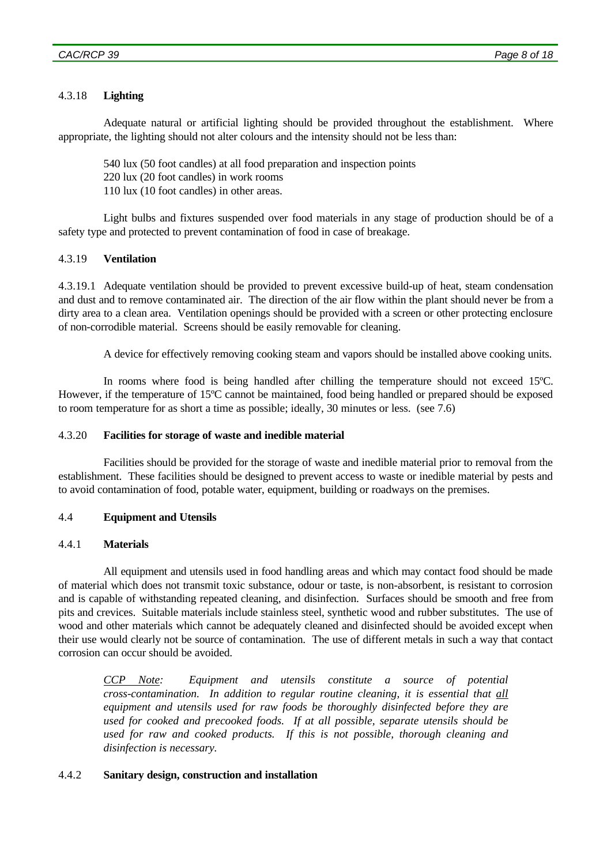## 4.3.18 **Lighting**

Adequate natural or artificial lighting should be provided throughout the establishment. Where appropriate, the lighting should not alter colours and the intensity should not be less than:

540 lux (50 foot candles) at all food preparation and inspection points

220 lux (20 foot candles) in work rooms

110 lux (10 foot candles) in other areas.

Light bulbs and fixtures suspended over food materials in any stage of production should be of a safety type and protected to prevent contamination of food in case of breakage.

### 4.3.19 **Ventilation**

4.3.19.1 Adequate ventilation should be provided to prevent excessive build-up of heat, steam condensation and dust and to remove contaminated air. The direction of the air flow within the plant should never be from a dirty area to a clean area. Ventilation openings should be provided with a screen or other protecting enclosure of non-corrodible material. Screens should be easily removable for cleaning.

A device for effectively removing cooking steam and vapors should be installed above cooking units.

In rooms where food is being handled after chilling the temperature should not exceed 15ºC. However, if the temperature of 15ºC cannot be maintained, food being handled or prepared should be exposed to room temperature for as short a time as possible; ideally, 30 minutes or less. (see 7.6)

### 4.3.20 **Facilities for storage of waste and inedible material**

Facilities should be provided for the storage of waste and inedible material prior to removal from the establishment. These facilities should be designed to prevent access to waste or inedible material by pests and to avoid contamination of food, potable water, equipment, building or roadways on the premises.

### 4.4 **Equipment and Utensils**

### 4.4.1 **Materials**

All equipment and utensils used in food handling areas and which may contact food should be made of material which does not transmit toxic substance, odour or taste, is non-absorbent, is resistant to corrosion and is capable of withstanding repeated cleaning, and disinfection. Surfaces should be smooth and free from pits and crevices. Suitable materials include stainless steel, synthetic wood and rubber substitutes. The use of wood and other materials which cannot be adequately cleaned and disinfected should be avoided except when their use would clearly not be source of contamination. The use of different metals in such a way that contact corrosion can occur should be avoided.

*CCP Note: Equipment and utensils constitute a source of potential cross-contamination. In addition to regular routine cleaning, it is essential that all equipment and utensils used for raw foods be thoroughly disinfected before they are used for cooked and precooked foods. If at all possible, separate utensils should be used for raw and cooked products. If this is not possible, thorough cleaning and disinfection is necessary.*

### 4.4.2 **Sanitary design, construction and installation**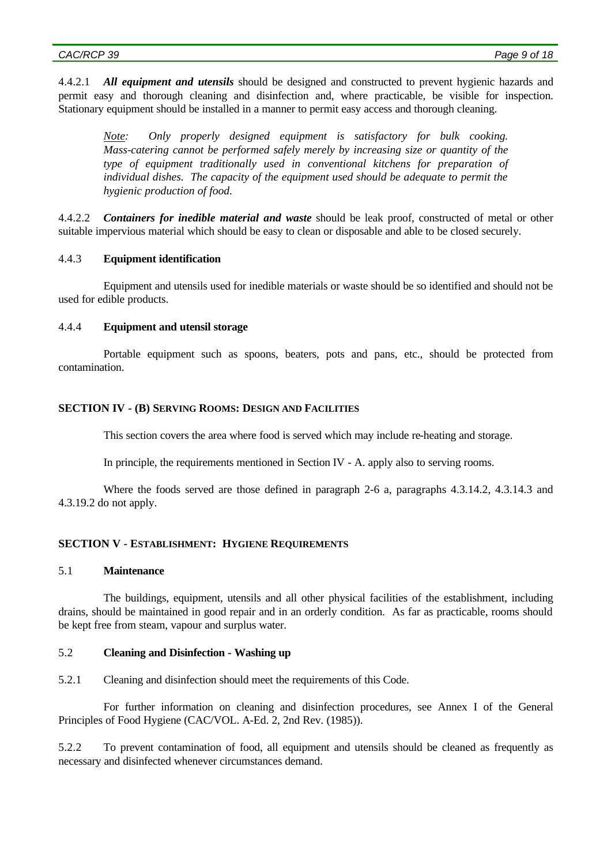4.4.2.1 *All equipment and utensils* should be designed and constructed to prevent hygienic hazards and permit easy and thorough cleaning and disinfection and, where practicable, be visible for inspection. Stationary equipment should be installed in a manner to permit easy access and thorough cleaning.

*Note: Only properly designed equipment is satisfactory for bulk cooking. Mass-catering cannot be performed safely merely by increasing size or quantity of the type of equipment traditionally used in conventional kitchens for preparation of individual dishes. The capacity of the equipment used should be adequate to permit the hygienic production of food.*

4.4.2.2 *Containers for inedible material and waste* should be leak proof, constructed of metal or other suitable impervious material which should be easy to clean or disposable and able to be closed securely.

### 4.4.3 **Equipment identification**

Equipment and utensils used for inedible materials or waste should be so identified and should not be used for edible products.

### 4.4.4 **Equipment and utensil storage**

Portable equipment such as spoons, beaters, pots and pans, etc., should be protected from contamination.

#### **SECTION IV - (B) SERVING ROOMS: DESIGN AND FACILITIES**

This section covers the area where food is served which may include re-heating and storage.

In principle, the requirements mentioned in Section IV - A. apply also to serving rooms.

Where the foods served are those defined in paragraph 2-6 a, paragraphs 4.3.14.2, 4.3.14.3 and 4.3.19.2 do not apply.

#### **SECTION V - ESTABLISHMENT: HYGIENE REQUIREMENTS**

### 5.1 **Maintenance**

The buildings, equipment, utensils and all other physical facilities of the establishment, including drains, should be maintained in good repair and in an orderly condition. As far as practicable, rooms should be kept free from steam, vapour and surplus water.

### 5.2 **Cleaning and Disinfection - Washing up**

5.2.1 Cleaning and disinfection should meet the requirements of this Code.

For further information on cleaning and disinfection procedures, see Annex I of the General Principles of Food Hygiene (CAC/VOL. A-Ed. 2, 2nd Rev. (1985)).

5.2.2 To prevent contamination of food, all equipment and utensils should be cleaned as frequently as necessary and disinfected whenever circumstances demand.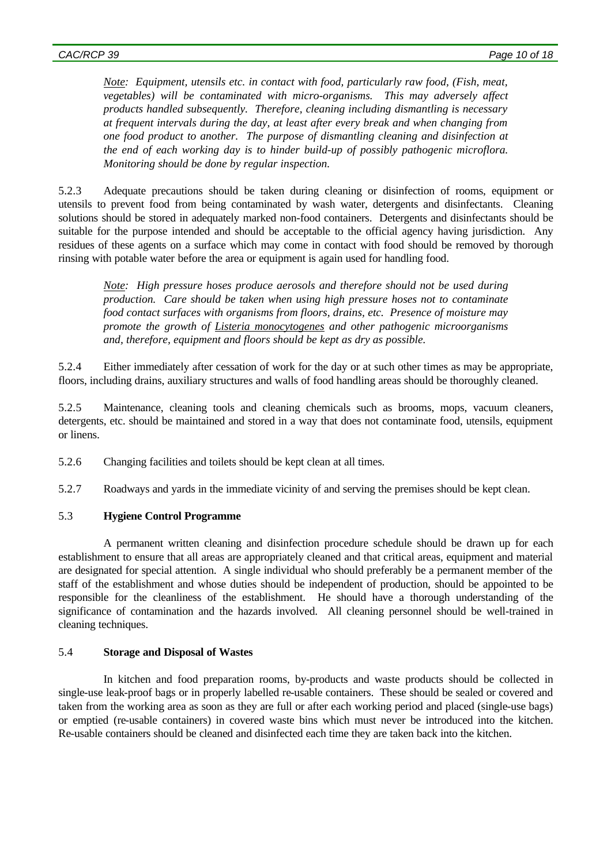*Note: Equipment, utensils etc. in contact with food, particularly raw food, (Fish, meat, vegetables) will be contaminated with micro-organisms. This may adversely affect products handled subsequently. Therefore, cleaning including dismantling is necessary at frequent intervals during the day, at least after every break and when changing from one food product to another. The purpose of dismantling cleaning and disinfection at the end of each working day is to hinder build-up of possibly pathogenic microflora. Monitoring should be done by regular inspection.*

5.2.3 Adequate precautions should be taken during cleaning or disinfection of rooms, equipment or utensils to prevent food from being contaminated by wash water, detergents and disinfectants. Cleaning solutions should be stored in adequately marked non-food containers. Detergents and disinfectants should be suitable for the purpose intended and should be acceptable to the official agency having jurisdiction. Any residues of these agents on a surface which may come in contact with food should be removed by thorough rinsing with potable water before the area or equipment is again used for handling food.

*Note: High pressure hoses produce aerosols and therefore should not be used during production. Care should be taken when using high pressure hoses not to contaminate food contact surfaces with organisms from floors, drains, etc. Presence of moisture may promote the growth of Listeria monocytogenes and other pathogenic microorganisms and, therefore, equipment and floors should be kept as dry as possible.*

5.2.4 Either immediately after cessation of work for the day or at such other times as may be appropriate, floors, including drains, auxiliary structures and walls of food handling areas should be thoroughly cleaned.

5.2.5 Maintenance, cleaning tools and cleaning chemicals such as brooms, mops, vacuum cleaners, detergents, etc. should be maintained and stored in a way that does not contaminate food, utensils, equipment or linens.

5.2.6 Changing facilities and toilets should be kept clean at all times.

5.2.7 Roadways and yards in the immediate vicinity of and serving the premises should be kept clean.

### 5.3 **Hygiene Control Programme**

A permanent written cleaning and disinfection procedure schedule should be drawn up for each establishment to ensure that all areas are appropriately cleaned and that critical areas, equipment and material are designated for special attention. A single individual who should preferably be a permanent member of the staff of the establishment and whose duties should be independent of production, should be appointed to be responsible for the cleanliness of the establishment. He should have a thorough understanding of the significance of contamination and the hazards involved. All cleaning personnel should be well-trained in cleaning techniques.

## 5.4 **Storage and Disposal of Wastes**

In kitchen and food preparation rooms, by-products and waste products should be collected in single-use leak-proof bags or in properly labelled re-usable containers. These should be sealed or covered and taken from the working area as soon as they are full or after each working period and placed (single-use bags) or emptied (re-usable containers) in covered waste bins which must never be introduced into the kitchen. Re-usable containers should be cleaned and disinfected each time they are taken back into the kitchen.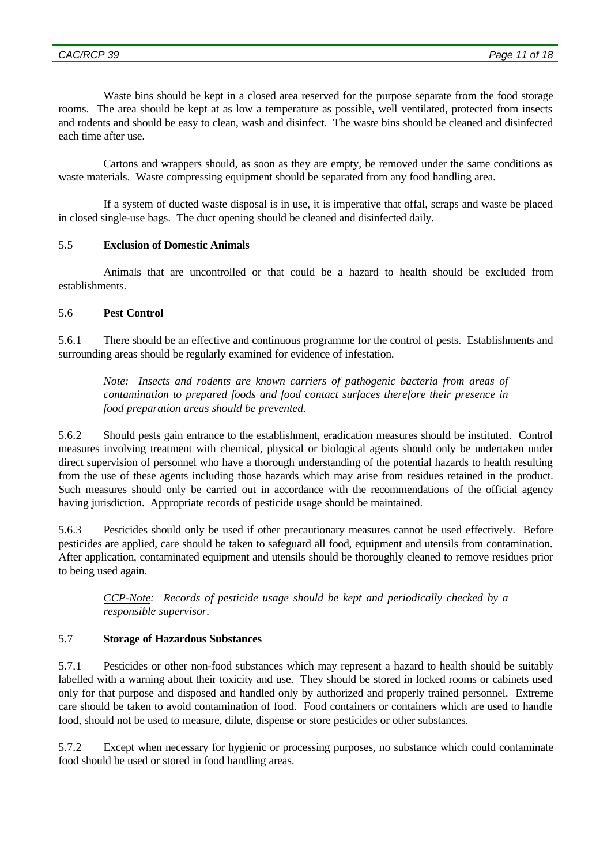Waste bins should be kept in a closed area reserved for the purpose separate from the food storage rooms. The area should be kept at as low a temperature as possible, well ventilated, protected from insects and rodents and should be easy to clean, wash and disinfect. The waste bins should be cleaned and disinfected each time after use.

Cartons and wrappers should, as soon as they are empty, be removed under the same conditions as waste materials. Waste compressing equipment should be separated from any food handling area.

If a system of ducted waste disposal is in use, it is imperative that offal, scraps and waste be placed in closed single-use bags. The duct opening should be cleaned and disinfected daily.

## 5.5 **Exclusion of Domestic Animals**

Animals that are uncontrolled or that could be a hazard to health should be excluded from establishments.

## 5.6 **Pest Control**

5.6.1 There should be an effective and continuous programme for the control of pests. Establishments and surrounding areas should be regularly examined for evidence of infestation.

*Note: Insects and rodents are known carriers of pathogenic bacteria from areas of contamination to prepared foods and food contact surfaces therefore their presence in food preparation areas should be prevented.*

5.6.2 Should pests gain entrance to the establishment, eradication measures should be instituted. Control measures involving treatment with chemical, physical or biological agents should only be undertaken under direct supervision of personnel who have a thorough understanding of the potential hazards to health resulting from the use of these agents including those hazards which may arise from residues retained in the product. Such measures should only be carried out in accordance with the recommendations of the official agency having jurisdiction. Appropriate records of pesticide usage should be maintained.

5.6.3 Pesticides should only be used if other precautionary measures cannot be used effectively. Before pesticides are applied, care should be taken to safeguard all food, equipment and utensils from contamination. After application, contaminated equipment and utensils should be thoroughly cleaned to remove residues prior to being used again.

*CCP-Note: Records of pesticide usage should be kept and periodically checked by a responsible supervisor.*

## 5.7 **Storage of Hazardous Substances**

5.7.1 Pesticides or other non-food substances which may represent a hazard to health should be suitably labelled with a warning about their toxicity and use. They should be stored in locked rooms or cabinets used only for that purpose and disposed and handled only by authorized and properly trained personnel. Extreme care should be taken to avoid contamination of food. Food containers or containers which are used to handle food, should not be used to measure, dilute, dispense or store pesticides or other substances.

5.7.2 Except when necessary for hygienic or processing purposes, no substance which could contaminate food should be used or stored in food handling areas.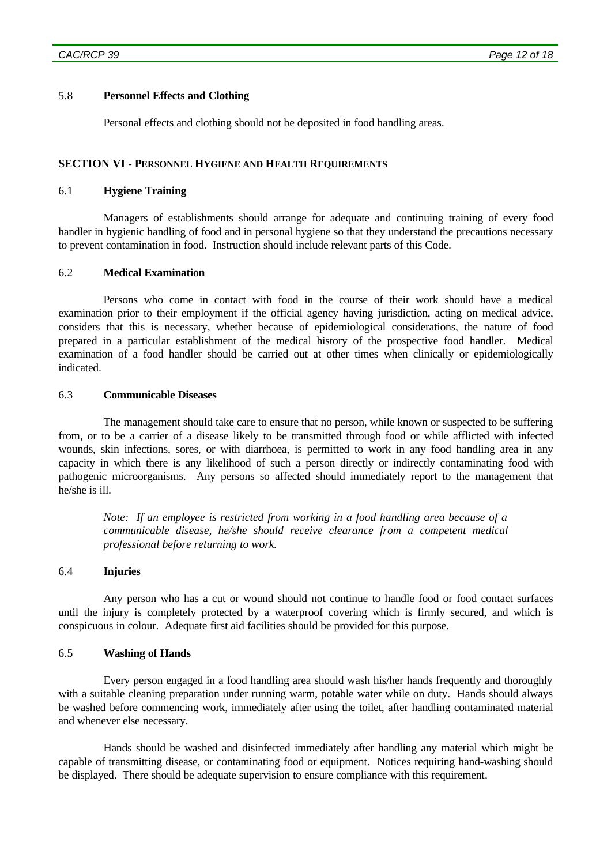## 5.8 **Personnel Effects and Clothing**

Personal effects and clothing should not be deposited in food handling areas.

### **SECTION VI - PERSONNEL HYGIENE AND HEALTH REQUIREMENTS**

## 6.1 **Hygiene Training**

Managers of establishments should arrange for adequate and continuing training of every food handler in hygienic handling of food and in personal hygiene so that they understand the precautions necessary to prevent contamination in food. Instruction should include relevant parts of this Code.

### 6.2 **Medical Examination**

Persons who come in contact with food in the course of their work should have a medical examination prior to their employment if the official agency having jurisdiction, acting on medical advice, considers that this is necessary, whether because of epidemiological considerations, the nature of food prepared in a particular establishment of the medical history of the prospective food handler. Medical examination of a food handler should be carried out at other times when clinically or epidemiologically indicated.

### 6.3 **Communicable Diseases**

The management should take care to ensure that no person, while known or suspected to be suffering from, or to be a carrier of a disease likely to be transmitted through food or while afflicted with infected wounds, skin infections, sores, or with diarrhoea, is permitted to work in any food handling area in any capacity in which there is any likelihood of such a person directly or indirectly contaminating food with pathogenic microorganisms. Any persons so affected should immediately report to the management that he/she is ill.

*Note: If an employee is restricted from working in a food handling area because of a communicable disease, he/she should receive clearance from a competent medical professional before returning to work.*

### 6.4 **Injuries**

Any person who has a cut or wound should not continue to handle food or food contact surfaces until the injury is completely protected by a waterproof covering which is firmly secured, and which is conspicuous in colour. Adequate first aid facilities should be provided for this purpose.

### 6.5 **Washing of Hands**

Every person engaged in a food handling area should wash his/her hands frequently and thoroughly with a suitable cleaning preparation under running warm, potable water while on duty. Hands should always be washed before commencing work, immediately after using the toilet, after handling contaminated material and whenever else necessary.

Hands should be washed and disinfected immediately after handling any material which might be capable of transmitting disease, or contaminating food or equipment. Notices requiring hand-washing should be displayed. There should be adequate supervision to ensure compliance with this requirement.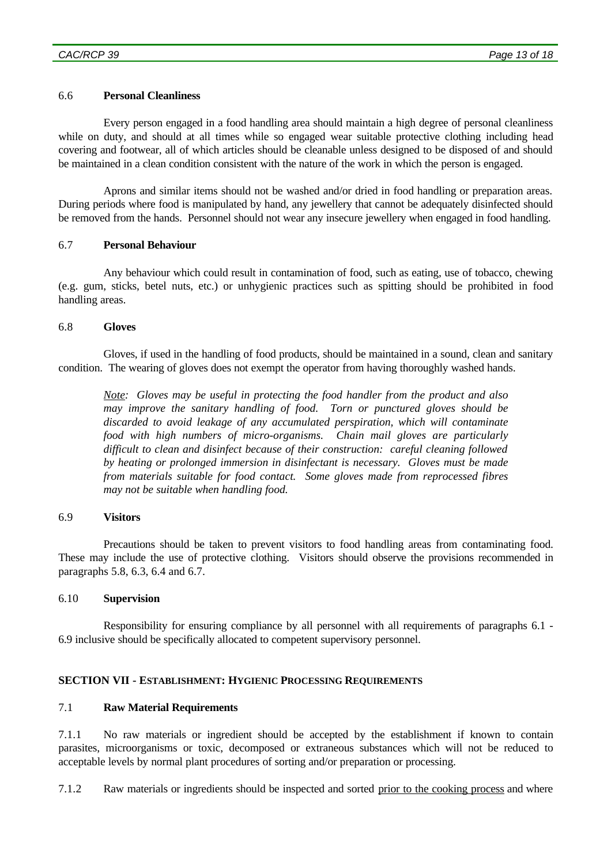### 6.6 **Personal Cleanliness**

Every person engaged in a food handling area should maintain a high degree of personal cleanliness while on duty, and should at all times while so engaged wear suitable protective clothing including head covering and footwear, all of which articles should be cleanable unless designed to be disposed of and should be maintained in a clean condition consistent with the nature of the work in which the person is engaged.

Aprons and similar items should not be washed and/or dried in food handling or preparation areas. During periods where food is manipulated by hand, any jewellery that cannot be adequately disinfected should be removed from the hands. Personnel should not wear any insecure jewellery when engaged in food handling.

### 6.7 **Personal Behaviour**

Any behaviour which could result in contamination of food, such as eating, use of tobacco, chewing (e.g. gum, sticks, betel nuts, etc.) or unhygienic practices such as spitting should be prohibited in food handling areas.

### 6.8 **Gloves**

Gloves, if used in the handling of food products, should be maintained in a sound, clean and sanitary condition. The wearing of gloves does not exempt the operator from having thoroughly washed hands.

*Note: Gloves may be useful in protecting the food handler from the product and also may improve the sanitary handling of food. Torn or punctured gloves should be discarded to avoid leakage of any accumulated perspiration, which will contaminate food with high numbers of micro-organisms. Chain mail gloves are particularly difficult to clean and disinfect because of their construction: careful cleaning followed by heating or prolonged immersion in disinfectant is necessary. Gloves must be made from materials suitable for food contact. Some gloves made from reprocessed fibres may not be suitable when handling food.*

### 6.9 **Visitors**

Precautions should be taken to prevent visitors to food handling areas from contaminating food. These may include the use of protective clothing. Visitors should observe the provisions recommended in paragraphs 5.8, 6.3, 6.4 and 6.7.

### 6.10 **Supervision**

Responsibility for ensuring compliance by all personnel with all requirements of paragraphs 6.1 - 6.9 inclusive should be specifically allocated to competent supervisory personnel.

## **SECTION VII - ESTABLISHMENT: HYGIENIC PROCESSING REQUIREMENTS**

### 7.1 **Raw Material Requirements**

7.1.1 No raw materials or ingredient should be accepted by the establishment if known to contain parasites, microorganisms or toxic, decomposed or extraneous substances which will not be reduced to acceptable levels by normal plant procedures of sorting and/or preparation or processing.

7.1.2 Raw materials or ingredients should be inspected and sorted prior to the cooking process and where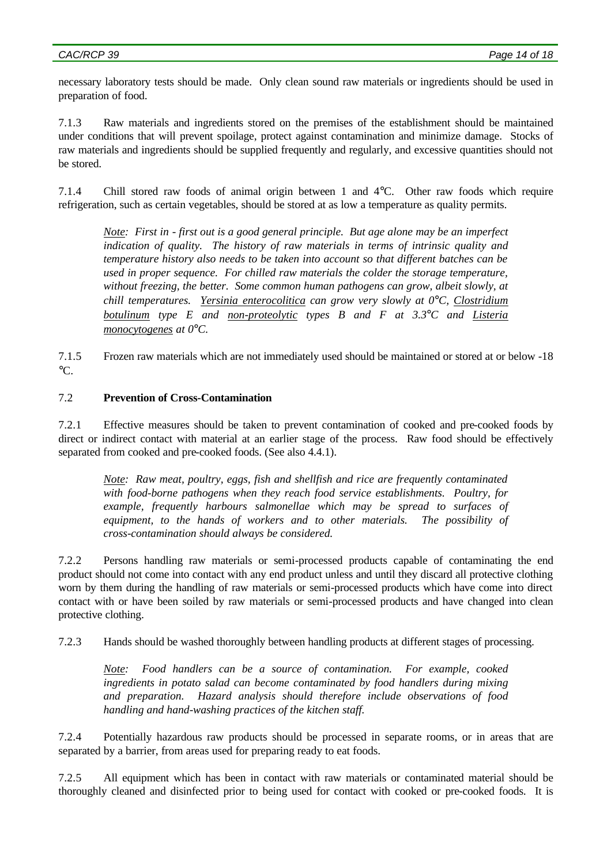necessary laboratory tests should be made. Only clean sound raw materials or ingredients should be used in preparation of food.

7.1.3 Raw materials and ingredients stored on the premises of the establishment should be maintained under conditions that will prevent spoilage, protect against contamination and minimize damage. Stocks of raw materials and ingredients should be supplied frequently and regularly, and excessive quantities should not be stored.

7.1.4 Chill stored raw foods of animal origin between 1 and 4°C. Other raw foods which require refrigeration, such as certain vegetables, should be stored at as low a temperature as quality permits.

*Note: First in - first out is a good general principle. But age alone may be an imperfect indication of quality. The history of raw materials in terms of intrinsic quality and temperature history also needs to be taken into account so that different batches can be used in proper sequence. For chilled raw materials the colder the storage temperature, without freezing, the better. Some common human pathogens can grow, albeit slowly, at chill temperatures. Yersinia enterocolitica can grow very slowly at 0°C, Clostridium botulinum type E and non-proteolytic types B and F at 3.3°C and Listeria monocytogenes at 0°C.*

7.1.5 Frozen raw materials which are not immediately used should be maintained or stored at or below -18  $\mathrm{C}$ .

## 7.2 **Prevention of Cross-Contamination**

7.2.1 Effective measures should be taken to prevent contamination of cooked and pre-cooked foods by direct or indirect contact with material at an earlier stage of the process. Raw food should be effectively separated from cooked and pre-cooked foods. (See also 4.4.1).

*Note: Raw meat, poultry, eggs, fish and shellfish and rice are frequently contaminated with food-borne pathogens when they reach food service establishments. Poultry, for example, frequently harbours salmonellae which may be spread to surfaces of equipment, to the hands of workers and to other materials. The possibility of cross-contamination should always be considered.*

7.2.2 Persons handling raw materials or semi-processed products capable of contaminating the end product should not come into contact with any end product unless and until they discard all protective clothing worn by them during the handling of raw materials or semi-processed products which have come into direct contact with or have been soiled by raw materials or semi-processed products and have changed into clean protective clothing.

7.2.3 Hands should be washed thoroughly between handling products at different stages of processing.

*Note: Food handlers can be a source of contamination. For example, cooked ingredients in potato salad can become contaminated by food handlers during mixing and preparation. Hazard analysis should therefore include observations of food handling and hand-washing practices of the kitchen staff.*

7.2.4 Potentially hazardous raw products should be processed in separate rooms, or in areas that are separated by a barrier, from areas used for preparing ready to eat foods.

7.2.5 All equipment which has been in contact with raw materials or contaminated material should be thoroughly cleaned and disinfected prior to being used for contact with cooked or pre-cooked foods. It is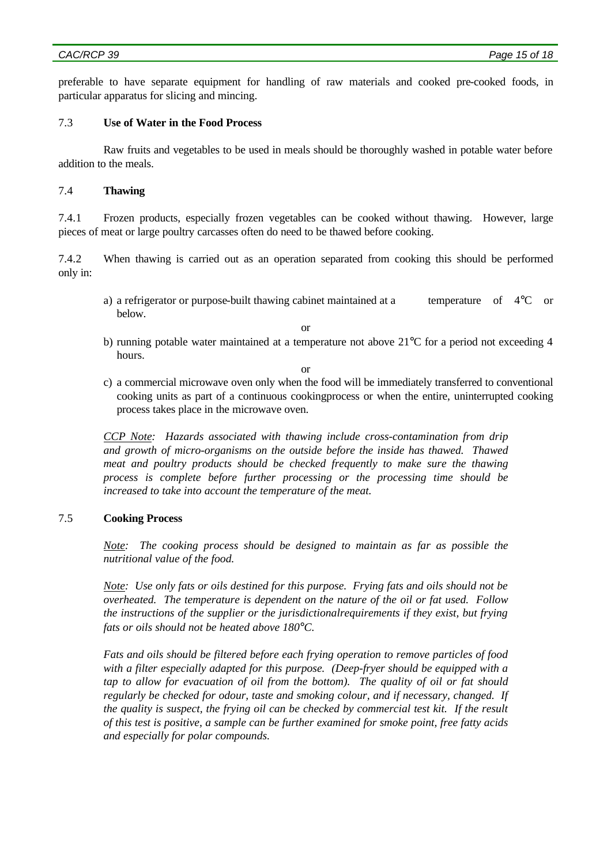preferable to have separate equipment for handling of raw materials and cooked pre-cooked foods, in particular apparatus for slicing and mincing.

### 7.3 **Use of Water in the Food Process**

Raw fruits and vegetables to be used in meals should be thoroughly washed in potable water before addition to the meals.

### 7.4 **Thawing**

7.4.1 Frozen products, especially frozen vegetables can be cooked without thawing. However, large pieces of meat or large poultry carcasses often do need to be thawed before cooking.

7.4.2 When thawing is carried out as an operation separated from cooking this should be performed only in:

a) a refrigerator or purpose-built thawing cabinet maintained at a temperature of 4°C or below.

or

b) running potable water maintained at a temperature not above 21°C for a period not exceeding 4 hours.

or

c) a commercial microwave oven only when the food will be immediately transferred to conventional cooking units as part of a continuous cookingprocess or when the entire, uninterrupted cooking process takes place in the microwave oven.

*CCP Note: Hazards associated with thawing include cross-contamination from drip and growth of micro-organisms on the outside before the inside has thawed. Thawed meat and poultry products should be checked frequently to make sure the thawing process is complete before further processing or the processing time should be increased to take into account the temperature of the meat.*

## 7.5 **Cooking Process**

*Note: The cooking process should be designed to maintain as far as possible the nutritional value of the food.*

*Note: Use only fats or oils destined for this purpose. Frying fats and oils should not be overheated. The temperature is dependent on the nature of the oil or fat used. Follow the instructions of the supplier or the jurisdictionalrequirements if they exist, but frying fats or oils should not be heated above 180°C.*

*Fats and oils should be filtered before each frying operation to remove particles of food with a filter especially adapted for this purpose. (Deep-fryer should be equipped with a tap to allow for evacuation of oil from the bottom). The quality of oil or fat should regularly be checked for odour, taste and smoking colour, and if necessary, changed. If the quality is suspect, the frying oil can be checked by commercial test kit. If the result of this test is positive, a sample can be further examined for smoke point, free fatty acids and especially for polar compounds.*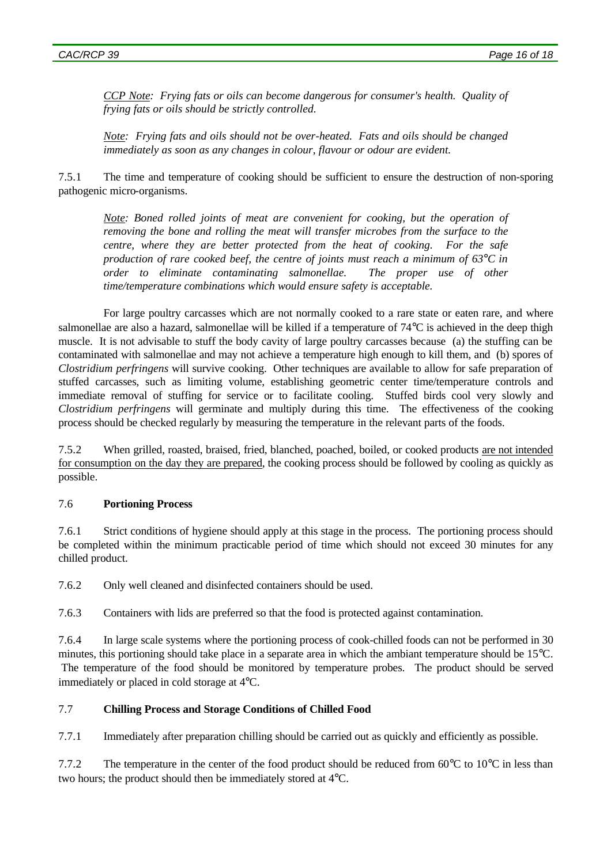*CCP Note: Frying fats or oils can become dangerous for consumer's health. Quality of frying fats or oils should be strictly controlled.*

*Note: Frying fats and oils should not be over-heated. Fats and oils should be changed immediately as soon as any changes in colour, flavour or odour are evident.*

7.5.1 The time and temperature of cooking should be sufficient to ensure the destruction of non-sporing pathogenic micro-organisms.

*Note: Boned rolled joints of meat are convenient for cooking, but the operation of removing the bone and rolling the meat will transfer microbes from the surface to the centre, where they are better protected from the heat of cooking. For the safe production of rare cooked beef, the centre of joints must reach a minimum of 63°C in order to eliminate contaminating salmonellae. The proper use of other time/temperature combinations which would ensure safety is acceptable.*

For large poultry carcasses which are not normally cooked to a rare state or eaten rare, and where salmonellae are also a hazard, salmonellae will be killed if a temperature of 74°C is achieved in the deep thigh muscle. It is not advisable to stuff the body cavity of large poultry carcasses because (a) the stuffing can be contaminated with salmonellae and may not achieve a temperature high enough to kill them, and (b) spores of *Clostridium perfringens* will survive cooking. Other techniques are available to allow for safe preparation of stuffed carcasses, such as limiting volume, establishing geometric center time/temperature controls and immediate removal of stuffing for service or to facilitate cooling. Stuffed birds cool very slowly and *Clostridium perfringens* will germinate and multiply during this time. The effectiveness of the cooking process should be checked regularly by measuring the temperature in the relevant parts of the foods.

7.5.2 When grilled, roasted, braised, fried, blanched, poached, boiled, or cooked products are not intended for consumption on the day they are prepared, the cooking process should be followed by cooling as quickly as possible.

## 7.6 **Portioning Process**

7.6.1 Strict conditions of hygiene should apply at this stage in the process. The portioning process should be completed within the minimum practicable period of time which should not exceed 30 minutes for any chilled product.

7.6.2 Only well cleaned and disinfected containers should be used.

7.6.3 Containers with lids are preferred so that the food is protected against contamination.

7.6.4 In large scale systems where the portioning process of cook-chilled foods can not be performed in 30 minutes, this portioning should take place in a separate area in which the ambiant temperature should be 15°C. The temperature of the food should be monitored by temperature probes. The product should be served immediately or placed in cold storage at 4°C.

## 7.7 **Chilling Process and Storage Conditions of Chilled Food**

7.7.1 Immediately after preparation chilling should be carried out as quickly and efficiently as possible.

7.7.2 The temperature in the center of the food product should be reduced from 60°C to 10°C in less than two hours; the product should then be immediately stored at 4°C.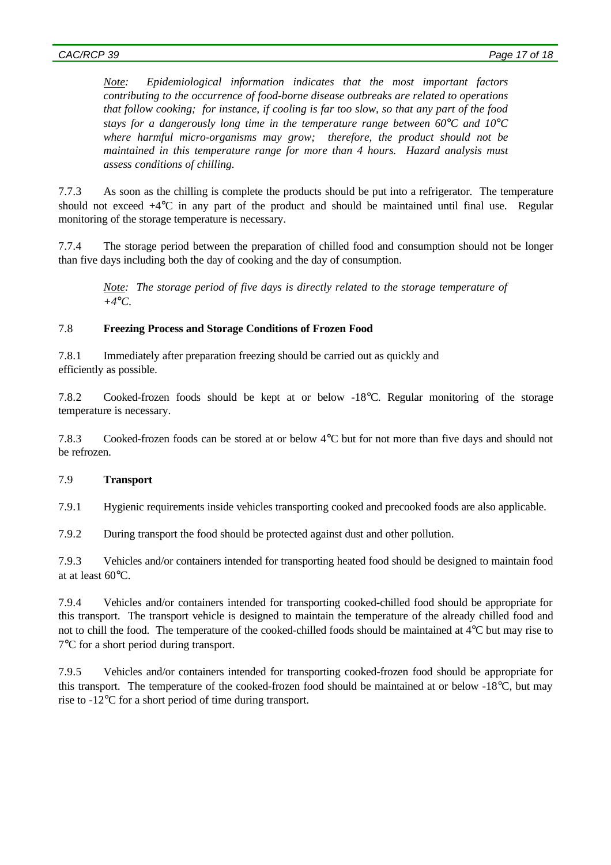*Note: Epidemiological information indicates that the most important factors contributing to the occurrence of food-borne disease outbreaks are related to operations that follow cooking; for instance, if cooling is far too slow, so that any part of the food stays for a dangerously long time in the temperature range between 60°C and 10°C where harmful micro-organisms may grow; therefore, the product should not be maintained in this temperature range for more than 4 hours. Hazard analysis must assess conditions of chilling.*

7.7.3 As soon as the chilling is complete the products should be put into a refrigerator. The temperature should not exceed +4°C in any part of the product and should be maintained until final use. Regular monitoring of the storage temperature is necessary.

7.7.4 The storage period between the preparation of chilled food and consumption should not be longer than five days including both the day of cooking and the day of consumption.

*Note: The storage period of five days is directly related to the storage temperature of +4°C.*

## 7.8 **Freezing Process and Storage Conditions of Frozen Food**

7.8.1 Immediately after preparation freezing should be carried out as quickly and efficiently as possible.

7.8.2 Cooked-frozen foods should be kept at or below -18°C. Regular monitoring of the storage temperature is necessary.

7.8.3 Cooked-frozen foods can be stored at or below 4°C but for not more than five days and should not be refrozen.

## 7.9 **Transport**

7.9.1 Hygienic requirements inside vehicles transporting cooked and precooked foods are also applicable.

7.9.2 During transport the food should be protected against dust and other pollution.

7.9.3 Vehicles and/or containers intended for transporting heated food should be designed to maintain food at at least 60°C.

7.9.4 Vehicles and/or containers intended for transporting cooked-chilled food should be appropriate for this transport. The transport vehicle is designed to maintain the temperature of the already chilled food and not to chill the food. The temperature of the cooked-chilled foods should be maintained at 4°C but may rise to 7°C for a short period during transport.

7.9.5 Vehicles and/or containers intended for transporting cooked-frozen food should be appropriate for this transport. The temperature of the cooked-frozen food should be maintained at or below -18°C, but may rise to -12°C for a short period of time during transport.